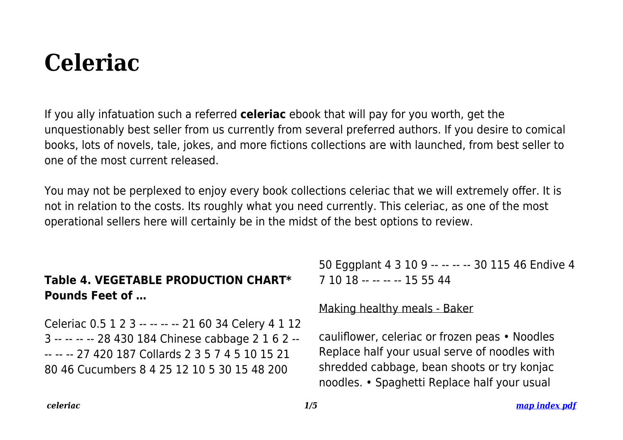# **Celeriac**

If you ally infatuation such a referred **celeriac** ebook that will pay for you worth, get the unquestionably best seller from us currently from several preferred authors. If you desire to comical books, lots of novels, tale, jokes, and more fictions collections are with launched, from best seller to one of the most current released.

You may not be perplexed to enjoy every book collections celeriac that we will extremely offer. It is not in relation to the costs. Its roughly what you need currently. This celeriac, as one of the most operational sellers here will certainly be in the midst of the best options to review.

# **Table 4. VEGETABLE PRODUCTION CHART\* Pounds Feet of …**

Celeriac 0.5 1 2 3 -- -- -- -- 21 60 34 Celery 4 1 12 3 -- -- -- -- 28 430 184 Chinese cabbage 2 1 6 2 -- -- -- -- 27 420 187 Collards 2 3 5 7 4 5 10 15 21 80 46 Cucumbers 8 4 25 12 10 5 30 15 48 200

50 Eggplant 4 3 10 9 -- -- -- -- 30 115 46 Endive 4 7 10 18 -- -- -- -- 15 55 44

#### Making healthy meals - Baker

cauliflower, celeriac or frozen peas • Noodles Replace half your usual serve of noodles with shredded cabbage, bean shoots or try konjac noodles. • Spaghetti Replace half your usual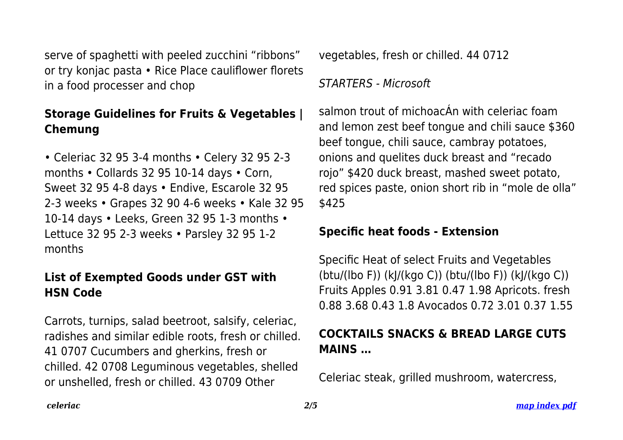serve of spaghetti with peeled zucchini "ribbons" or try konjac pasta • Rice Place cauliflower florets in a food processer and chop

## **Storage Guidelines for Fruits & Vegetables | Chemung**

• Celeriac 32 95 3-4 months • Celery 32 95 2-3 months • Collards 32 95 10-14 days • Corn, Sweet 32 95 4-8 days • Endive, Escarole 32 95 2-3 weeks • Grapes 32 90 4-6 weeks • Kale 32 95 10-14 days • Leeks, Green 32 95 1-3 months • Lettuce 32 95 2-3 weeks • Parsley 32 95 1-2 months

### **List of Exempted Goods under GST with HSN Code**

Carrots, turnips, salad beetroot, salsify, celeriac, radishes and similar edible roots, fresh or chilled. 41 0707 Cucumbers and gherkins, fresh or chilled. 42 0708 Leguminous vegetables, shelled or unshelled, fresh or chilled. 43 0709 Other

vegetables, fresh or chilled. 44 0712

STARTERS - Microsoft

salmon trout of michoacÁn with celeriac foam and lemon zest beef tongue and chili sauce \$360 beef tongue, chili sauce, cambray potatoes, onions and quelites duck breast and "recado rojo" \$420 duck breast, mashed sweet potato, red spices paste, onion short rib in "mole de olla" \$425

#### **Specific heat foods - Extension**

Specific Heat of select Fruits and Vegetables (btu/(lbo F)) (kJ/(kgo C)) (btu/(lbo F)) (kJ/(kgo C)) Fruits Apples 0.91 3.81 0.47 1.98 Apricots. fresh 0.88 3.68 0.43 1.8 Avocados 0.72 3.01 0.37 1.55

# **COCKTAILS SNACKS & BREAD LARGE CUTS MAINS …**

Celeriac steak, grilled mushroom, watercress,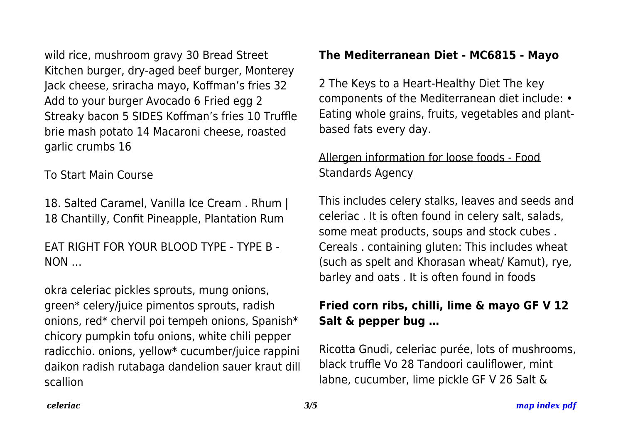wild rice, mushroom gravy 30 Bread Street Kitchen burger, dry-aged beef burger, Monterey Jack cheese, sriracha mayo, Koffman's fries 32 Add to your burger Avocado 6 Fried egg 2 Streaky bacon 5 SIDES Koffman's fries 10 Truffle brie mash potato 14 Macaroni cheese, roasted garlic crumbs 16

#### To Start Main Course

18. Salted Caramel, Vanilla Ice Cream . Rhum | 18 Chantilly, Confit Pineapple, Plantation Rum

#### EAT RIGHT FOR YOUR BLOOD TYPE - TYPE B - NON …

okra celeriac pickles sprouts, mung onions, green\* celery/juice pimentos sprouts, radish onions, red\* chervil poi tempeh onions, Spanish\* chicory pumpkin tofu onions, white chili pepper radicchio. onions, yellow\* cucumber/juice rappini daikon radish rutabaga dandelion sauer kraut dill scallion

#### **The Mediterranean Diet - MC6815 - Mayo**

2 The Keys to a Heart-Healthy Diet The key components of the Mediterranean diet include: • Eating whole grains, fruits, vegetables and plantbased fats every day.

### Allergen information for loose foods - Food Standards Agency

This includes celery stalks, leaves and seeds and celeriac . It is often found in celery salt, salads, some meat products, soups and stock cubes . Cereals . containing gluten: This includes wheat (such as spelt and Khorasan wheat/ Kamut), rye, barley and oats . It is often found in foods

# **Fried corn ribs, chilli, lime & mayo GF V 12 Salt & pepper bug …**

Ricotta Gnudi, celeriac purée, lots of mushrooms, black truffle Vo 28 Tandoori cauliflower, mint labne, cucumber, lime pickle GF V 26 Salt &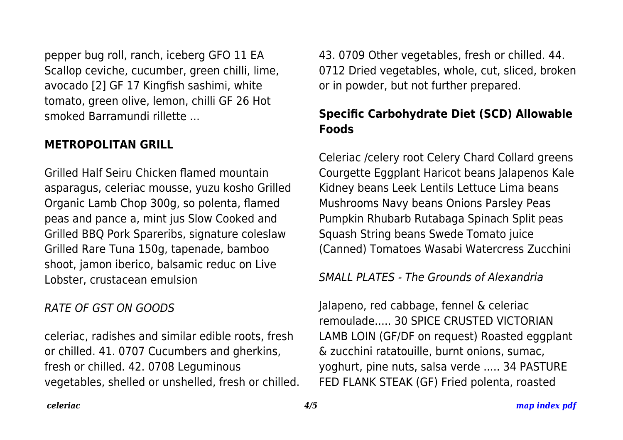pepper bug roll, ranch, iceberg GFO 11 EA Scallop ceviche, cucumber, green chilli, lime, avocado [2] GF 17 Kingfish sashimi, white tomato, green olive, lemon, chilli GF 26 Hot smoked Barramundi rillette ...

#### **METROPOLITAN GRILL**

Grilled Half Seiru Chicken flamed mountain asparagus, celeriac mousse, yuzu kosho Grilled Organic Lamb Chop 300g, so polenta, flamed peas and pance a, mint jus Slow Cooked and Grilled BBQ Pork Spareribs, signature coleslaw Grilled Rare Tuna 150g, tapenade, bamboo shoot, jamon iberico, balsamic reduc on Live Lobster, crustacean emulsion

#### RATE OF GST ON GOODS

celeriac, radishes and similar edible roots, fresh or chilled. 41. 0707 Cucumbers and gherkins, fresh or chilled. 42. 0708 Leguminous vegetables, shelled or unshelled, fresh or chilled. 43. 0709 Other vegetables, fresh or chilled. 44. 0712 Dried vegetables, whole, cut, sliced, broken or in powder, but not further prepared.

# **Specific Carbohydrate Diet (SCD) Allowable Foods**

Celeriac /celery root Celery Chard Collard greens Courgette Eggplant Haricot beans Jalapenos Kale Kidney beans Leek Lentils Lettuce Lima beans Mushrooms Navy beans Onions Parsley Peas Pumpkin Rhubarb Rutabaga Spinach Split peas Squash String beans Swede Tomato juice (Canned) Tomatoes Wasabi Watercress Zucchini

SMALL PLATES - The Grounds of Alexandria

Jalapeno, red cabbage, fennel & celeriac remoulade..... 30 SPICE CRUSTED VICTORIAN LAMB LOIN (GF/DF on request) Roasted eggplant & zucchini ratatouille, burnt onions, sumac, yoghurt, pine nuts, salsa verde ..... 34 PASTURE FED FLANK STEAK (GF) Fried polenta, roasted